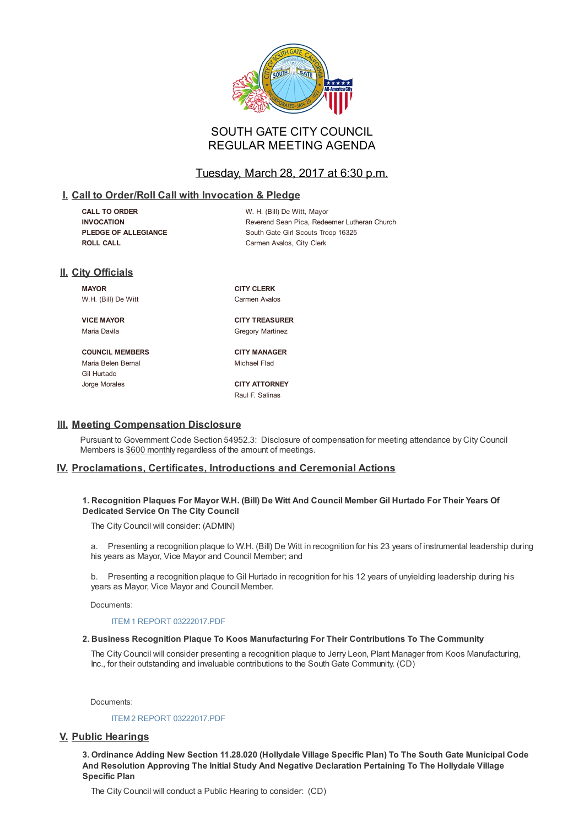

# SOUTH GATE CITY COUNCIL REGULAR MEETING AGENDA

# Tuesday, March 28, 2017 at 6:30 p.m.

# **I. Call to Order/Roll Call with Invocation & Pledge**

| <b>CALL TO ORDER</b>        | W. H. (Bill) De Witt, Mayor                  |
|-----------------------------|----------------------------------------------|
| <b>INVOCATION</b>           | Reverend Sean Pica, Redeemer Lutheran Church |
| <b>PLEDGE OF ALLEGIANCE</b> | South Gate Girl Scouts Troop 16325           |
| ROLL CALL                   | Carmen Avalos, City Clerk                    |

# **II. City Officials**

**MAYOR CITY CLERK** W.H. (Bill) De Witt Carmen Avalos

**VICE MAYOR CITY TREASURER** Maria Davila **Gregory Martinez** 

**COUNCIL MEMBERS CITY MANAGER** Maria Belen Bernal Michael Flad Gil Hurtado Jorge Morales **CITY ATTORNEY**

Raul F. Salinas

# **III. Meeting Compensation Disclosure**

Pursuant to Government Code Section 54952.3: Disclosure of compensation for meeting attendance by City Council Members is \$600 monthly regardless of the amount of meetings.

# **IV. Proclamations, Certificates, Introductions and Ceremonial Actions**

## 1. Recognition Plaques For Mayor W.H. (Bill) De Witt And Council Member Gil Hurtado For Their Years Of **Dedicated Service On The City Council**

The City Council will consider: (ADMIN)

a. Presenting a recognition plaque to W.H. (Bill) De Witt in recognition for his 23 years of instrumental leadership during his years as Mayor, Vice Mayor and Council Member; and

b. Presenting a recognition plaque to Gil Hurtado in recognition for his 12 years of unyielding leadership during his years as Mayor, Vice Mayor and Council Member.

Documents:

ITEM 1 REPORT 03222017.PDF

## **2. Business Recognition Plaque To Koos Manufacturing For Their Contributions To The Community**

The City Council will consider presenting a recognition plaque to Jerry Leon, Plant Manager from Koos Manufacturing, Inc., for their [outstanding](D:/AgendaCenter/ViewFile/Item/3862?fileID=9553) and invaluable contributions to the South Gate Community. (CD)

Documents:

ITEM 2 REPORT 03222017.PDF

# **V. Public Hearings**

**3. Ordinance Adding New Section 11.28.020 (Hollydale Village Specific Plan) To The South Gate Municipal Code And Resolution [Approving](D:/AgendaCenter/ViewFile/Item/3863?fileID=9554) The Initial Study And Negative Declaration Pertaining To The Hollydale Village Specific Plan**

The City Council will conduct a Public Hearing to consider: (CD)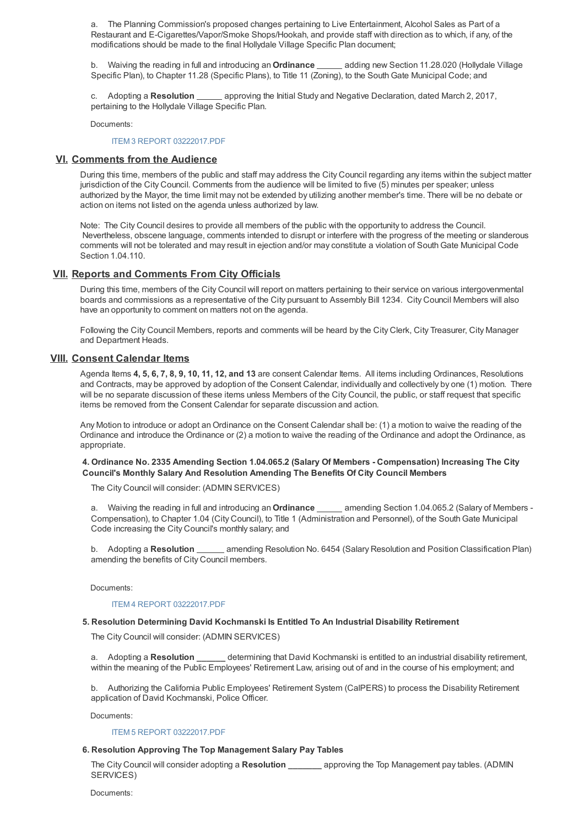a. The Planning Commission's proposed changes pertaining to Live Entertainment, Alcohol Sales as Part of a Restaurant and E-Cigarettes/Vapor/Smoke Shops/Hookah, and provide staff with direction as to which, if any, of the modifications should be made to the final Hollydale Village Specific Plan document;

b. Waiving the reading in full and introducing an **Ordinance** adding new Section 11.28.020 (Hollydale Village Specific Plan), to Chapter 11.28 (Specific Plans), to Title 11 (Zoning), to the South Gate Municipal Code; and

c. Adopting a **Resolution** equal proving the Initial Study and Negative Declaration, dated March 2, 2017, pertaining to the Hollydale Village Specific Plan.

Documents:

ITEM 3 REPORT 03222017.PDF

# **VI. Comments from the Audience**

During this time, members of the public and staff may address the City Council regarding any items within the subject matter jurisdiction of the City Council. Comments from the audience will be limited to five (5) minutes per speaker; unless authorized by the Mayor, the time limit may not be extended by utilizing another member's time. There will be no debate or action on items not listed on the agenda unless authorized by law.

Note: The City Council desires to provide all members of the public with the opportunity to address the Council. Nevertheless, obscene language, comments intended to disrupt or interfere with the progress of the meeting or slanderous comments will not be tolerated and may result in ejection and/or may constitute a violation of South Gate Municipal Code Section 1.04.110.

# **VII. Reports and Comments From City Officials**

During this time, members of the City Council will report on matters pertaining to their service on various intergovenmental boards and commissions as a representative of the City pursuant to Assembly Bill 1234. City Council Members will also have an opportunity to comment on matters not on the agenda.

Following the City Council Members, reports and comments will be heard by the City Clerk, City Treasurer, City Manager and Department Heads.

# **VIII. Consent Calendar Items**

Agenda Items **4, 5, 6, 7, 8, 9, 10, 11, 12, and 13** are consent Calendar Items. All items including Ordinances, Resolutions and Contracts, may be approved by adoption of the Consent Calendar, individually and collectively by one (1) motion. There will be no separate discussion of these items unless Members of the City Council, the public, or staff request that specific items be removed from the Consent Calendar for separate discussion and action.

Any Motion to introduce or adopt an Ordinance on the Consent Calendar shall be: (1) a motion to waive the reading of the Ordinance and introduce the Ordinance or (2) a motion to waive the reading of the Ordinance and adopt the Ordinance, as appropriate.

## **4. Ordinance No. 2335 Amending Section 1.04.065.2 (Salary Of Members - Compensation) Increasing The City Council's Monthly Salary And Resolution Amending The Benefits Of City Council Members**

The City Council will consider: (ADMIN SERVICES)

a. Waiving the reading in full and introducing an **Ordinance** \_\_\_\_\_ amending Section 1.04.065.2 (Salary of Members -Compensation), to Chapter 1.04 (City Council), to Title 1 (Administration and Personnel), of the South Gate Municipal Code increasing the City Council's monthly salary; and

b. Adopting a Resolution **come and amending Resolution No. 6454 (Salary Resolution and Position Classification Plan)** amending the benefits of City Council members.

Documents:

#### ITEM 4 REPORT 03222017.PDF

# **5. Resolution Determining David Kochmanski Is Entitled To An Industrial Disability Retirement**

The City Council will consider: (ADMIN SERVICES)

a. Adopting a **Resolution \_\_\_\_\_\_** determining that David Kochmanski is entitled to an industrial disability retirement, within the meaning of the Public Employees' Retirement Law, arising out of and in the course of his employment; and

b. Authorizing the California Public Employees' Retirement System (CalPERS) to process the Disability Retirement application of David Kochmanski, Police Officer.

Documents:

## ITEM 5 REPORT 03222017.PDF

## **6. Resolution Approving The Top Management Salary Pay Tables**

The City Council will consider adopting a **Resolution \_\_\_\_\_\_\_** approving the Top Management pay tables. (ADMIN SERVICES)

Documents: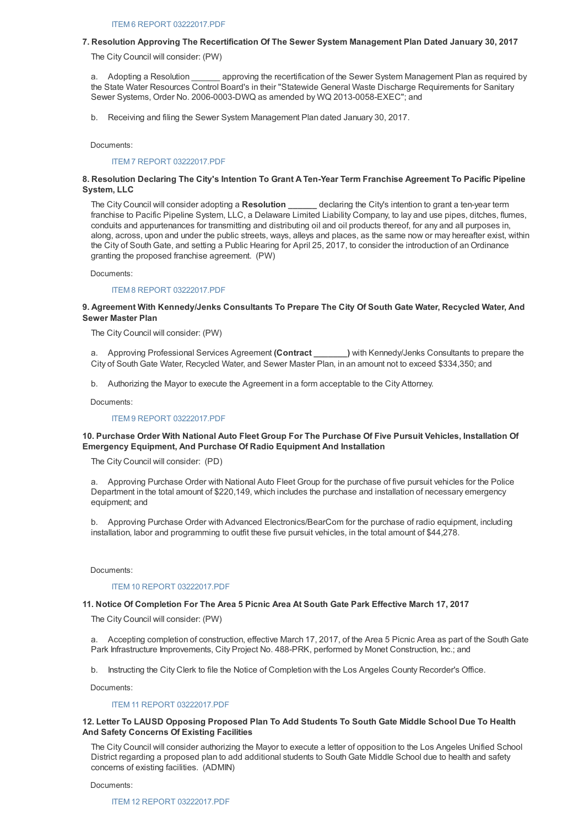#### **7. Resolution Approving The Recertification Of The Sewer System Management Plan Dated January 30, 2017**

The City Council will consider: (PW)

a. Adopting a Resolution **approving the recertification of the Sewer System Management Plan as required by** the State Water Resources Control Board's in their "Statewide General Waste Discharge Requirements for Sanitary Sewer Systems, Order No. 2006-0003-DWQ as amended by WQ 2013-0058-EXEC"; and

b. Receiving and filing the Sewer System Management Plan dated January 30, 2017.

Documents:

#### ITEM 7 REPORT 03222017.PDF

## **8. Resolution Declaring The City's Intention To Grant A Ten-Year Term Franchise Agreement To Pacific Pipeline System, LLC**

The City Council will consider adopting a **Resolution \_\_\_\_\_\_** declaring the City's intention to grant a ten-year term franchise to Pacific Pipeline System, LLC, a Delaware Limited Liability Company, to lay and use pipes, ditches, flumes, conduits and appurtenances for transmitting and distributing oil and oil products thereof, for any and all purposes in, along, across, upon and under the public streets, ways, alleys and places, as the same now or may hereafter exist, within the City of South Gate, and setting a Public Hearing for April 25, 2017, to consider the introduction of an Ordinance granting the proposed franchise agreement. (PW)

Documents:

#### ITEM 8 REPORT 03222017.PDF

# **9. Agreement With Kennedy/Jenks Consultants To Prepare The City Of South Gate Water, Recycled Water, And Sewer Master Plan**

The City Council will consider: (PW)

a. Approving Professional Services Agreement **(Contract \_\_\_\_\_\_\_)** with Kennedy/Jenks Consultants to prepare the City of South Gate Water, Recycled Water, and Sewer Master Plan, in an amount not to exceed \$334,350; and

b. Authorizing the Mayor to execute the Agreement in a form acceptable to the City Attorney.

Documents:

#### ITEM 9 REPORT 03222017.PDF

## 10. Purchase Order With National Auto Fleet Group For The Purchase Of Five Pursuit Vehicles, Installation Of **Emergency Equipment, And Purchase Of Radio Equipment And Installation**

The City Council will consider: (PD)

a. Approving Purchase Order with National Auto Fleet Group for the purchase of five pursuit vehicles for the Police Department in the total amount of \$220,149, which includes the purchase and installation of necessary emergency equipment; and

b. Approving Purchase Order with Advanced Electronics/BearCom for the purchase of radio equipment, including installation, labor and programming to outfit these five pursuit vehicles, in the total amount of \$44,278.

Documents:

#### ITEM 10 REPORT 03222017.PDF

#### **11. Notice Of Completion For The Area 5 Picnic Area At South Gate Park Effective March 17, 2017**

The City Council will consider: (PW)

a. Accepting completion of construction, effective March 17, 2017, of the Area 5 Picnic Area as part of the South Gate Park Infrastructure Improvements, City Project No. 488-PRK, performed by Monet Construction, Inc.; and

b. Instructing the City Clerk to file the Notice of Completion with the Los Angeles County Recorder's Office.

Documents:

#### ITEM 11 REPORT 03222017.PDF

### 12. Letter To LAUSD Opposing Proposed Plan To Add Students To South Gate Middle School Due To Health **And Safety Concerns Of Existing Facilities**

The City Council will consider authorizing the Mayor to execute a letter of opposition to the Los Angeles Unified School District regarding a proposed plan to add additional students to South Gate Middle School due to health and safety concerns of existing facilities. (ADMIN)

Documents: